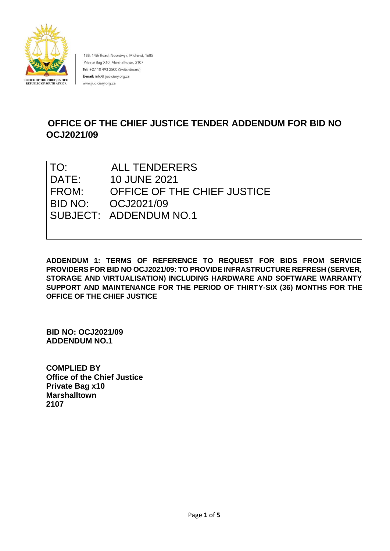

188, 14th Road, Noordwyk, Midrand, 1685 Private Bag X10, Marshalltown, 2107 Tel: +27 10 493 2500 (Switchboard) E-mail: info@ judiciary.org.za www.judiciary.org.za

# **OFFICE OF THE CHIEF JUSTICE TENDER ADDENDUM FOR BID NO OCJ2021/09**

| TO:   | <b>ALL TENDERERS</b>        |
|-------|-----------------------------|
| DATE: | 10 JUNE 2021                |
| FROM: | OFFICE OF THE CHIEF JUSTICE |
|       | BID NO: 0CJ2021/09          |
|       | SUBJECT: ADDENDUM NO.1      |
|       |                             |

**ADDENDUM 1: TERMS OF REFERENCE TO REQUEST FOR BIDS FROM SERVICE PROVIDERS FOR BID NO OCJ2021/09: TO PROVIDE INFRASTRUCTURE REFRESH (SERVER, STORAGE AND VIRTUALISATION) INCLUDING HARDWARE AND SOFTWARE WARRANTY SUPPORT AND MAINTENANCE FOR THE PERIOD OF THIRTY-SIX (36) MONTHS FOR THE OFFICE OF THE CHIEF JUSTICE** 

**BID NO: OCJ2021/09 ADDENDUM NO.1** 

**COMPLIED BY Office of the Chief Justice Private Bag x10 Marshalltown 2107**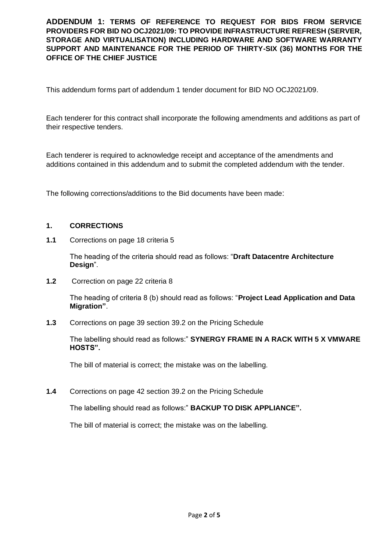This addendum forms part of addendum 1 tender document for BID NO OCJ2021/09.

Each tenderer for this contract shall incorporate the following amendments and additions as part of their respective tenders.

Each tenderer is required to acknowledge receipt and acceptance of the amendments and additions contained in this addendum and to submit the completed addendum with the tender.

The following corrections/additions to the Bid documents have been made:

#### **1. CORRECTIONS**

**1.1** Corrections on page 18 criteria 5

The heading of the criteria should read as follows: "**Draft Datacentre Architecture Design**".

**1.2** Correction on page 22 criteria 8

The heading of criteria 8 (b) should read as follows: "**Project Lead Application and Data Migration"**.

**1.3** Corrections on page 39 section 39.2 on the Pricing Schedule

The labelling should read as follows:" **SYNERGY FRAME IN A RACK WITH 5 X VMWARE HOSTS".**

The bill of material is correct; the mistake was on the labelling.

**1.4** Corrections on page 42 section 39.2 on the Pricing Schedule

The labelling should read as follows:" **BACKUP TO DISK APPLIANCE".**

The bill of material is correct; the mistake was on the labelling.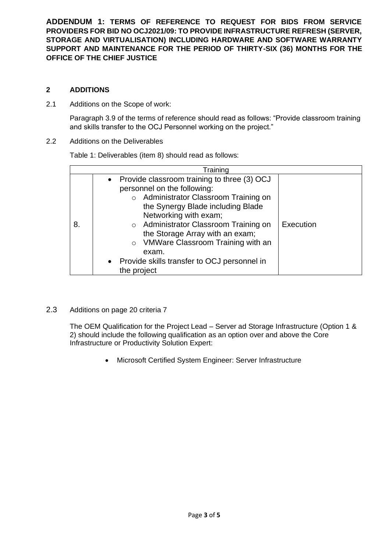# **2 ADDITIONS**

2.1 Additions on the Scope of work:

Paragraph 3.9 of the terms of reference should read as follows: "Provide classroom training and skills transfer to the OCJ Personnel working on the project."

2.2 Additions on the Deliverables

Table 1: Deliverables (item 8) should read as follows:

|    | Training                                                                                                                                                                                                                                                                                                                                                                                 |           |
|----|------------------------------------------------------------------------------------------------------------------------------------------------------------------------------------------------------------------------------------------------------------------------------------------------------------------------------------------------------------------------------------------|-----------|
| 8. | • Provide classroom training to three (3) OCJ<br>personnel on the following:<br>o Administrator Classroom Training on<br>the Synergy Blade including Blade<br>Networking with exam;<br>o Administrator Classroom Training on<br>the Storage Array with an exam;<br>VMWare Classroom Training with an<br>$\circ$<br>exam.<br>• Provide skills transfer to OCJ personnel in<br>the project | Execution |

2.3 Additions on page 20 criteria 7

The OEM Qualification for the Project Lead – Server ad Storage Infrastructure (Option 1 & 2) should include the following qualification as an option over and above the Core Infrastructure or Productivity Solution Expert:

• Microsoft Certified System Engineer: Server Infrastructure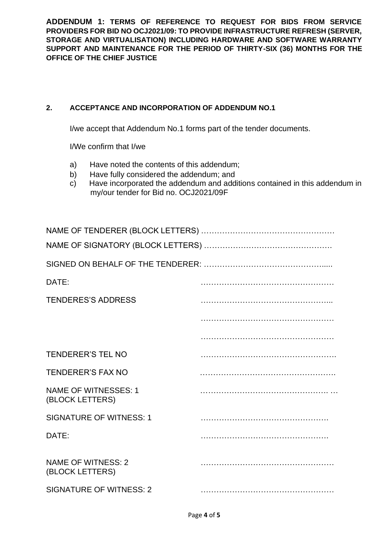# **2. ACCEPTANCE AND INCORPORATION OF ADDENDUM NO.1**

I/we accept that Addendum No.1 forms part of the tender documents.

I/We confirm that I/we

- a) Have noted the contents of this addendum;
- b) Have fully considered the addendum; and
- c) Have incorporated the addendum and additions contained in this addendum in my/our tender for Bid no. OCJ2021/09F

| DATE:                                          |  |  |  |  |
|------------------------------------------------|--|--|--|--|
| <b>TENDERES'S ADDRESS</b>                      |  |  |  |  |
|                                                |  |  |  |  |
|                                                |  |  |  |  |
| <b>TENDERER'S TEL NO</b>                       |  |  |  |  |
| <b>TENDERER'S FAX NO</b>                       |  |  |  |  |
| <b>NAME OF WITNESSES: 1</b><br>(BLOCK LETTERS) |  |  |  |  |
| <b>SIGNATURE OF WITNESS: 1</b>                 |  |  |  |  |
| DATE:                                          |  |  |  |  |
| <b>NAME OF WITNESS: 2</b><br>(BLOCK LETTERS)   |  |  |  |  |
| <b>SIGNATURE OF WITNESS: 2</b>                 |  |  |  |  |